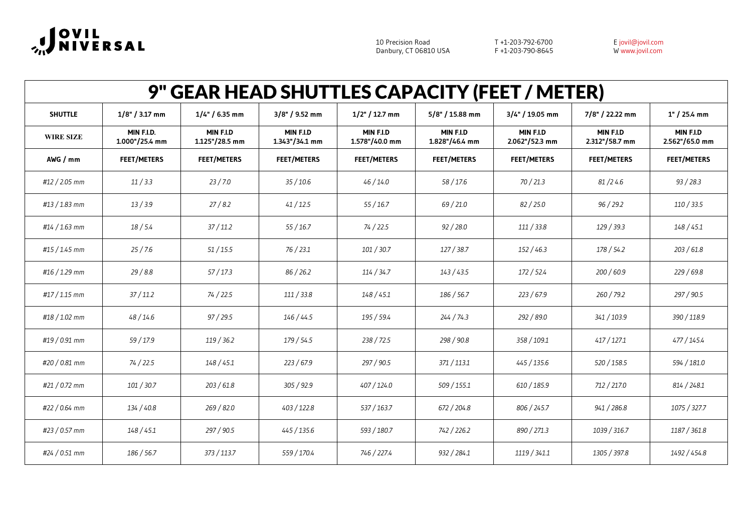

10 Precision Road Danbury, CT 06810 USA T +1-203-792-6700 F +1-203-790-8645

| 9" GEAR HEAD SHUTTLES CAPACITY (FEET / METER) |                              |                             |                                |                             |                             |                             |                             |                             |  |
|-----------------------------------------------|------------------------------|-----------------------------|--------------------------------|-----------------------------|-----------------------------|-----------------------------|-----------------------------|-----------------------------|--|
| <b>SHUTTLE</b>                                | $1/8" / 3.17$ mm             | $1/4" / 6.35$ mm            | $3/8" / 9.52$ mm               | $1/2$ " / 12.7 mm           | 5/8" / 15.88 mm             | 3/4" / 19.05 mm             | 7/8" / 22.22 mm             | $1" / 25.4$ mm              |  |
| <b>WIRE SIZE</b>                              | MIN F.I.D.<br>1.000"/25.4 mm | MIN F.I.D<br>1.125"/28.5 mm | MIN F.I.D<br>$1.343$ "/34.1 mm | MIN F.I.D<br>1.578"/40.0 mm | MIN F.I.D<br>1.828"/46.4 mm | MIN F.I.D<br>2.062"/52.3 mm | MIN F.I.D<br>2.312"/58.7 mm | MIN F.I.D<br>2.562"/65.0 mm |  |
| AWG / mm                                      | <b>FEET/METERS</b>           | <b>FEET/METERS</b>          | <b>FEET/METERS</b>             | <b>FEET/METERS</b>          | <b>FEET/METERS</b>          | <b>FEET/METERS</b>          | <b>FEET/METERS</b>          | <b>FEET/METERS</b>          |  |
| #12 / 2.05 mm                                 | 11/3.3                       | 23/7.0                      | 35/10.6                        | 46/14.0                     | 58 / 17.6                   | 70 / 21.3                   | 81/24.6                     | 93 / 28.3                   |  |
| #13 / 1.83 mm                                 | 13/3.9                       | 27/8.2                      | 41/12.5                        | 55/16.7                     | 69 / 21.0                   | 82 / 25.0                   | 96 / 29.2                   | 110 / 33.5                  |  |
| #14 / 1.63 mm                                 | 18 / 5.4                     | 37/11.2                     | 55 / 16.7                      | 74 / 22.5                   | 92 / 28.0                   | 111 / 33.8                  | 129 / 39.3                  | 148 / 45.1                  |  |
| #15 / 1.45 mm                                 | 25/7.6                       | 51/15.5                     | 76 / 23.1                      | 101 / 30.7                  | 127 / 38.7                  | 152 / 46.3                  | 178 / 54.2                  | 203 / 61.8                  |  |
| #16 / 1.29 mm                                 | 29/8.8                       | 57/17.3                     | 86/26.2                        | 114 / 34.7                  | 143 / 43.5                  | 172 / 52.4                  | 200 / 60.9                  | 229 / 69.8                  |  |
| #17 / 1.15 mm                                 | 37/11.2                      | 74 / 22.5                   | 111 / 33.8                     | 148 / 45.1                  | 186 / 56.7                  | 223 / 67.9                  | 260 / 79.2                  | 297 / 90.5                  |  |
| #18 / 1.02 mm                                 | 48 / 14.6                    | 97 / 29.5                   | 146 / 44.5                     | 195 / 59.4                  | 244 / 74.3                  | 292 / 89.0                  | 341 / 103.9                 | 390 / 118.9                 |  |
| #19 / 0.91 mm                                 | 59/17.9                      | 119 / 36.2                  | 179 / 54.5                     | 238 / 72.5                  | 298 / 90.8                  | 358 / 109.1                 | 417 / 127.1                 | 477 / 145.4                 |  |
| #20 / 0.81 mm                                 | 74 / 22.5                    | 148 / 45.1                  | 223 / 67.9                     | 297 / 90.5                  | 371 / 113.1                 | 445 / 135.6                 | 520 / 158.5                 | 594 / 181.0                 |  |
| #21 / 0.72 mm                                 | 101 / 30.7                   | 203 / 61.8                  | 305 / 92.9                     | 407 / 124.0                 | 509 / 155.1                 | 610 / 185.9                 | 712 / 217.0                 | 814 / 248.1                 |  |
| #22 / 0.64 mm                                 | 134 / 40.8                   | 269 / 82.0                  | 403 / 122.8                    | 537 / 163.7                 | 672 / 204.8                 | 806 / 245.7                 | 941 / 286.8                 | 1075 / 327.7                |  |
| #23 / 0.57 mm                                 | 148 / 45.1                   | 297 / 90.5                  | 445 / 135.6                    | 593 / 180.7                 | 742 / 226.2                 | 890 / 271.3                 | 1039 / 316.7                | 1187 / 361.8                |  |
| #24 / 0.51 mm                                 | 186 / 56.7                   | 373 / 113.7                 | 559 / 170.4                    | 746 / 227.4                 | 932 / 284.1                 | 1119 / 341.1                | 1305 / 397.8                | 1492 / 454.8                |  |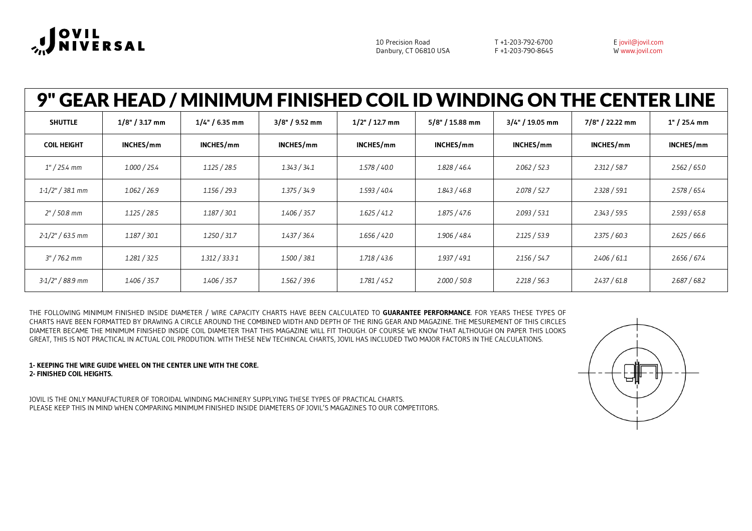

T +1-203-792-6700 F +1-203-790-8645

E [jovil@jovil.com](mailto:jovil@jovil.com) W [www.jovil.com](http://www.jovil.com)

| 9" GEAR HEAD / MINIMUM FINISHED COIL ID WINDING ON THE CENTER LINE |                  |                  |                  |                   |                 |                   |                 |                |  |  |
|--------------------------------------------------------------------|------------------|------------------|------------------|-------------------|-----------------|-------------------|-----------------|----------------|--|--|
| <b>SHUTTLE</b>                                                     | $1/8" / 3.17$ mm | $1/4" / 6.35$ mm | $3/8" / 9.52$ mm | $1/2$ " / 12.7 mm | 5/8" / 15.88 mm | $3/4" / 19.05$ mm | 7/8" / 22.22 mm | $1" / 25.4$ mm |  |  |
| <b>COIL HEIGHT</b>                                                 | INCHES/mm        | INCHES/mm        | INCHES/mm        | INCHES/mm         | INCHES/mm       | INCHES/mm         | INCHES/mm       | INCHES/mm      |  |  |
| $1''/25.4$ mm                                                      | 1.000 / 25.4     | 1.125 / 28.5     | 1.343 / 34.1     | 1.578 / 40.0      | 1.828 / 46.4    | 2.062 / 52.3      | 2.312 / 58.7    | 2.562 / 65.0   |  |  |
| $1 - 1/2" / 38.1$ mm                                               | 1.062 / 26.9     | 1.156 / 29.3     | 1.375 / 34.9     | 1.593 / 40.4      | 1.843 / 46.8    | 2.078 / 52.7      | 2.328 / 59.1    | 2.578 / 65.4   |  |  |
| 2" / 50.8 mm                                                       | 1.125 / 28.5     | 1.187 / 30.1     | 1.406 / 35.7     | 1.625 / 41.2      | 1.875 / 47.6    | 2.093 / 53.1      | 2.343 / 59.5    | 2.593 / 65.8   |  |  |
| $2 - 1/2" / 63.5$ mm                                               | 1.187 / 30.1     | 1.250 / 31.7     | 1.437 / 36.4     | 1.656 / 42.0      | 1.906 / 48.4    | 2.125 / 53.9      | 2.375 / 60.3    | 2.625 / 66.6   |  |  |
| $3''/76.2$ mm                                                      | 1.281 / 32.5     | 1.312 / 33.3 1   | 1.500 / 38.1     | 1.718 / 43.6      | 1.937 / 49.1    | 2.156 / 54.7      | 2.406 / 61.1    | 2.656 / 67.4   |  |  |
| $3-1/2" / 88.9$ mm                                                 | 1.406 / 35.7     | 1.406 / 35.7     | 1.562 / 39.6     | 1.781 / 45.2      | 2.000 / 50.8    | 2.218 / 56.3      | 2.437 / 61.8    | 2.687 / 68.2   |  |  |

THE FOLLOWING MINIMUM FINISHED INSIDE DIAMETER / WIRE CAPACITY CHARTS HAVE BEEN CALCULATED TO **GUARANTEE PERFORMANCE**. FOR YEARS THESE TYPES OF CHARTS HAVE BEEN FORMATTED BY DRAWING A CIRCLE AROUND THE COMBINED WIDTH AND DEPTH OF THE RING GEAR AND MAGAZINE. THE MESUREMENT OF THIS CIRCLES DIAMETER BECAME THE MINIMUM FINISHED INSIDE COIL DIAMETER THAT THIS MAGAZINE WILL FIT THOUGH. OF COURSE WE KNOW THAT ALTHOUGH ON PAPER THIS LOOKS GREAT, THIS IS NOT PRACTICAL IN ACTUAL COIL PRODUTION. WITH THESE NEW TECHINCAL CHARTS, JOVIL HAS INCLUDED TWO MAJOR FACTORS IN THE CALCULATIONS.

## **1- KEEPING THE WIRE GUIDE WHEEL ON THE CENTER LINE WITH THE CORE. 2- FINISHED COIL HEIGHTS.**

JOVIL IS THE ONLY MANUFACTURER OF TOROIDAL WINDING MACHINERY SUPPLYING THESE TYPES OF PRACTICAL CHARTS. PLEASE KEEP THIS IN MIND WHEN COMPARING MINIMUM FINISHED INSIDE DIAMETERS OF JOVIL'S MAGAZINES TO OUR COMPETITORS.

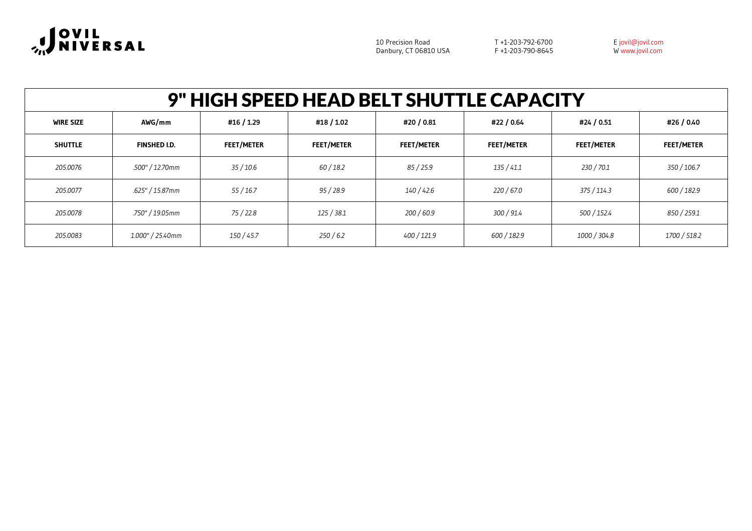

T +1-203-792-6700 F +1-203-790-8645

|                  | 9" HIGH SPEED HEAD BELT SHUTTLE CAPACITY |                   |                   |                   |                   |                   |                   |  |  |
|------------------|------------------------------------------|-------------------|-------------------|-------------------|-------------------|-------------------|-------------------|--|--|
| <b>WIRE SIZE</b> | AWG/mm                                   | #16 / 1.29        | #18 / 1.02        | #20 / 0.81        | #22 / 0.64        | #24 / 0.51        | #26 / 0.40        |  |  |
| <b>SHUTTLE</b>   | <b>FINSHED I.D.</b>                      | <b>FEET/METER</b> | <b>FEET/METER</b> | <b>FEET/METER</b> | <b>FEET/METER</b> | <b>FEET/METER</b> | <b>FEET/METER</b> |  |  |
| 205.0076         | .500" / 12.70mm                          | 35 / 10.6         | 60 / 18.2         | 85 / 25.9         | 135 / 41.1        | 230 / 70.1        | 350 / 106.7       |  |  |
| 205.0077         | .625" / 15.87mm                          | 55 / 16.7         | 95 / 28.9         | 140 / 42.6        | 220 / 67.0        | 375 / 114.3       | 600 / 182.9       |  |  |
| 205.0078         | .750" / 19.05mm                          | 75 / 22.8         | 125 / 38.1        | 200 / 60.9        | 300 / 91.4        | 500 / 152.4       | 850 / 259.1       |  |  |
| 205.0083         | 1.000" / 25.40mm                         | 150 / 45.7        | 250 / 6.2         | 400 / 121.9       | 600 / 182.9       | 1000 / 304.8      | 1700 / 518.2      |  |  |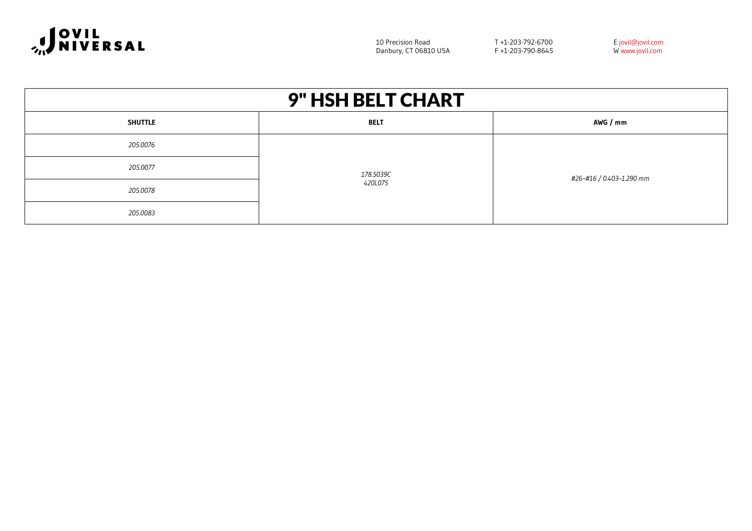

10 Precision Road Danbury, CT 06810 USA T +1-203-792-6700 F +1-203-790-8645

| 9" HSH BELT CHART |             |                          |  |  |  |  |  |
|-------------------|-------------|--------------------------|--|--|--|--|--|
| <b>SHUTTLE</b>    | <b>BELT</b> | AWG / mm                 |  |  |  |  |  |
| 205.0076          |             |                          |  |  |  |  |  |
| 205.0077          | 178.5039C   | #26–#16 / 0.403–1.290 mm |  |  |  |  |  |
| 205.0078          | 420L075     |                          |  |  |  |  |  |
| 205.0083          |             |                          |  |  |  |  |  |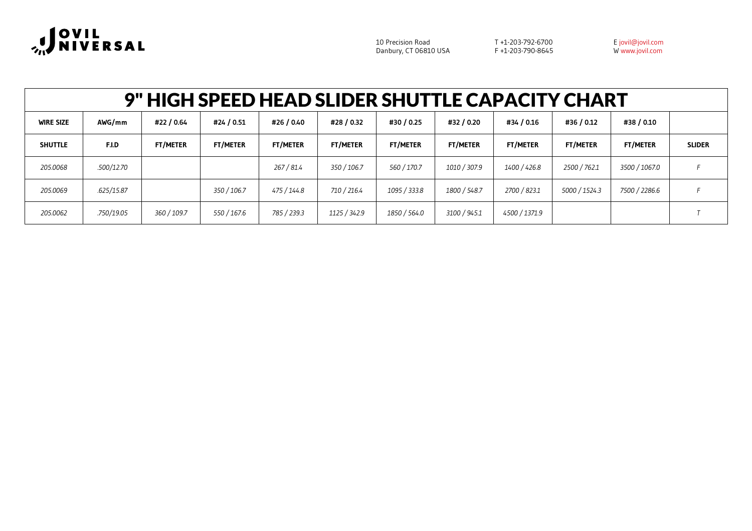

T +1-203-792-6700 F +1-203-790-8645

|                  | 9" HIGH SPEED HEAD SLIDER SHUTTLE CAPACITY CHART |                 |                 |                 |                 |                 |                 |                 |                 |                 |               |
|------------------|--------------------------------------------------|-----------------|-----------------|-----------------|-----------------|-----------------|-----------------|-----------------|-----------------|-----------------|---------------|
| <b>WIRE SIZE</b> | AWG/mm                                           | #22 / 0.64      | #24 / 0.51      | #26 / 0.40      | #28 / 0.32      | #30 / 0.25      | #32 / 0.20      | #34 / 0.16      | #36 / 0.12      | #38 / 0.10      |               |
| <b>SHUTTLE</b>   | <b>F.I.D</b>                                     | <b>FT/METER</b> | <b>FT/METER</b> | <b>FT/METER</b> | <b>FT/METER</b> | <b>FT/METER</b> | <b>FT/METER</b> | <b>FT/METER</b> | <b>FT/METER</b> | <b>FT/METER</b> | <b>SLIDER</b> |
| 205.0068         | .500/12.70                                       |                 |                 | 267 / 81.4      | 350 / 106.7     | 560 / 170.7     | 1010 / 307.9    | 1400 / 426.8    | 2500 / 762.1    | 3500 / 1067.0   |               |
| 205.0069         | .625/15.87                                       |                 | 350 / 106.7     | 475 / 144.8     | 710 / 216.4     | 1095 / 333.8    | 1800 / 548.7    | 2700 / 823.1    | 5000 / 1524.3   | 7500 / 2286.6   |               |
| 205.0062         | .750/19.05                                       | 360 / 109.7     | 550 / 167.6     | 785 / 239.3     | 1125 / 342.9    | 1850 / 564.0    | 3100 / 945.1    | 4500 / 1371.9   |                 |                 |               |